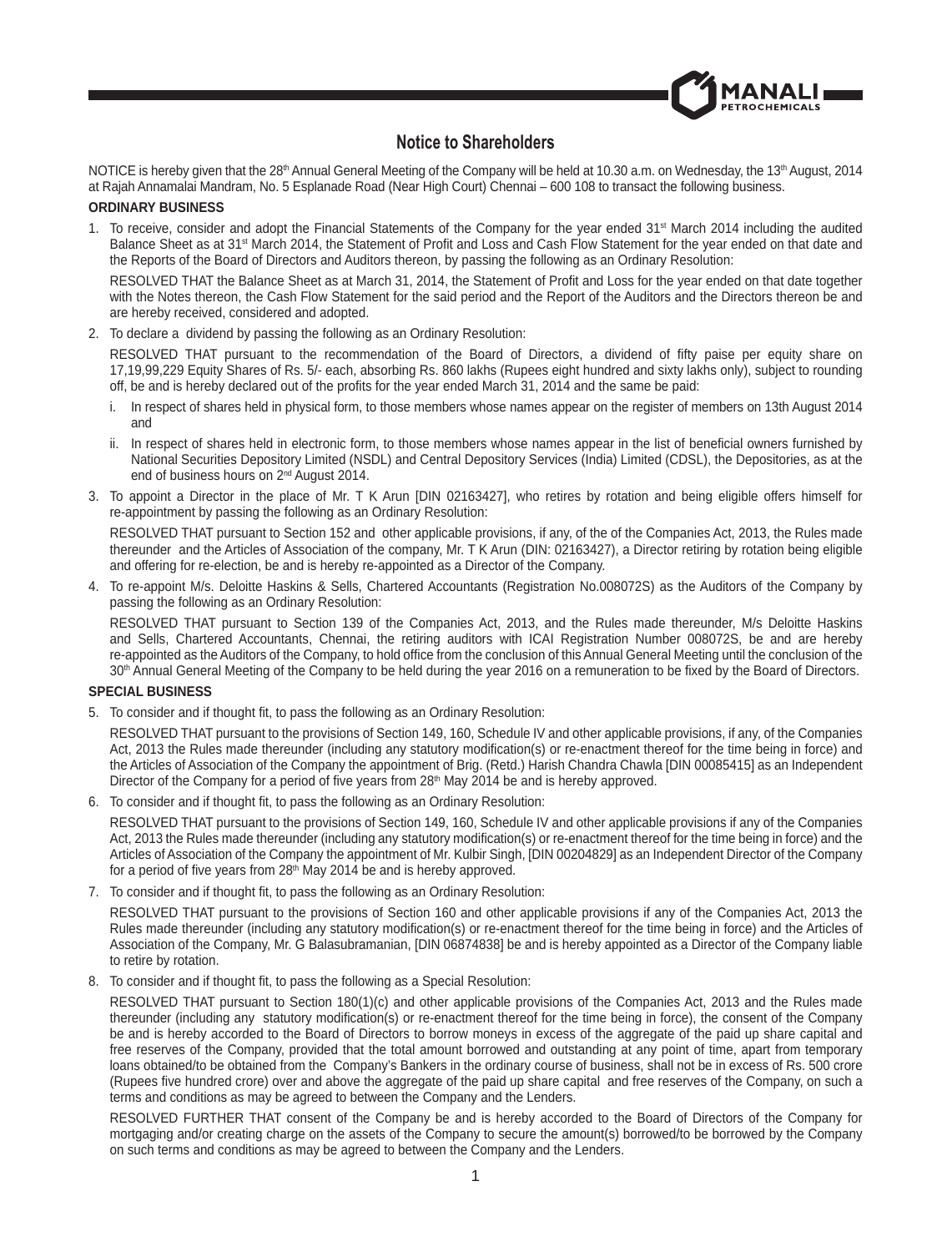

# **Notice to Shareholders**

NOTICE is hereby given that the 28<sup>th</sup> Annual General Meeting of the Company will be held at 10.30 a.m. on Wednesday, the 13<sup>th</sup> August, 2014 at Rajah Annamalai Mandram, No. 5 Esplanade Road (Near High Court) Chennai – 600 108 to transact the following business.

## **ORDINARY BUSINESS**

1. To receive, consider and adopt the Financial Statements of the Company for the year ended 31<sup>st</sup> March 2014 including the audited Balance Sheet as at 31<sup>st</sup> March 2014, the Statement of Profit and Loss and Cash Flow Statement for the year ended on that date and the Reports of the Board of Directors and Auditors thereon, by passing the following as an Ordinary Resolution:

RESOLVED THAT the Balance Sheet as at March 31, 2014, the Statement of Profit and Loss for the year ended on that date together with the Notes thereon, the Cash Flow Statement for the said period and the Report of the Auditors and the Directors thereon be and are hereby received, considered and adopted.

2. To declare a dividend by passing the following as an Ordinary Resolution:

RESOLVED THAT pursuant to the recommendation of the Board of Directors, a dividend of fifty paise per equity share on 17,19,99,229 Equity Shares of Rs. 5/- each, absorbing Rs. 860 lakhs (Rupees eight hundred and sixty lakhs only), subject to rounding off, be and is hereby declared out of the profits for the year ended March 31, 2014 and the same be paid:

- i. In respect of shares held in physical form, to those members whose names appear on the register of members on 13th August 2014 and
- ii. In respect of shares held in electronic form, to those members whose names appear in the list of beneficial owners furnished by National Securities Depository Limited (NSDL) and Central Depository Services (India) Limited (CDSL), the Depositories, as at the end of business hours on 2nd August 2014.
- 3. To appoint a Director in the place of Mr. T K Arun [DIN 02163427], who retires by rotation and being eligible offers himself for re-appointment by passing the following as an Ordinary Resolution:

 RESOLVED THAT pursuant to Section 152 and other applicable provisions, if any, of the of the Companies Act, 2013, the Rules made thereunder and the Articles of Association of the company, Mr. T K Arun (DIN: 02163427), a Director retiring by rotation being eligible and offering for re-election, be and is hereby re-appointed as a Director of the Company.

4. To re-appoint M/s. Deloitte Haskins & Sells, Chartered Accountants (Registration No.008072S) as the Auditors of the Company by passing the following as an Ordinary Resolution:

 RESOLVED THAT pursuant to Section 139 of the Companies Act, 2013, and the Rules made thereunder, M/s Deloitte Haskins and Sells, Chartered Accountants, Chennai, the retiring auditors with ICAI Registration Number 008072S, be and are hereby re-appointed as the Auditors of the Company, to hold office from the conclusion of this Annual General Meeting until the conclusion of the 30<sup>th</sup> Annual General Meeting of the Company to be held during the year 2016 on a remuneration to be fixed by the Board of Directors.

### **SPECIAL BUSINESS**

5. To consider and if thought fit, to pass the following as an Ordinary Resolution:

 RESOLVED THAT pursuant to the provisions of Section 149, 160, Schedule IV and other applicable provisions, if any, of the Companies Act, 2013 the Rules made thereunder (including any statutory modification(s) or re-enactment thereof for the time being in force) and the Articles of Association of the Company the appointment of Brig. (Retd.) Harish Chandra Chawla [DIN 00085415] as an Independent Director of the Company for a period of five years from 28<sup>th</sup> May 2014 be and is hereby approved.

6. To consider and if thought fit, to pass the following as an Ordinary Resolution:

 RESOLVED THAT pursuant to the provisions of Section 149, 160, Schedule IV and other applicable provisions if any of the Companies Act, 2013 the Rules made thereunder (including any statutory modification(s) or re-enactment thereof for the time being in force) and the Articles of Association of the Company the appointment of Mr. Kulbir Singh, [DIN 00204829] as an Independent Director of the Company for a period of five years from 28<sup>th</sup> May 2014 be and is hereby approved.

7. To consider and if thought fit, to pass the following as an Ordinary Resolution:

 RESOLVED THAT pursuant to the provisions of Section 160 and other applicable provisions if any of the Companies Act, 2013 the Rules made thereunder (including any statutory modification(s) or re-enactment thereof for the time being in force) and the Articles of Association of the Company, Mr. G Balasubramanian, [DIN 06874838] be and is hereby appointed as a Director of the Company liable to retire by rotation.

8. To consider and if thought fit, to pass the following as a Special Resolution:

 RESOLVED THAT pursuant to Section 180(1)(c) and other applicable provisions of the Companies Act, 2013 and the Rules made thereunder (including any statutory modification(s) or re-enactment thereof for the time being in force), the consent of the Company be and is hereby accorded to the Board of Directors to borrow moneys in excess of the aggregate of the paid up share capital and free reserves of the Company, provided that the total amount borrowed and outstanding at any point of time, apart from temporary loans obtained/to be obtained from the Company's Bankers in the ordinary course of business, shall not be in excess of Rs. 500 crore (Rupees five hundred crore) over and above the aggregate of the paid up share capital and free reserves of the Company, on such a terms and conditions as may be agreed to between the Company and the Lenders.

 RESOLVED FURTHER THAT consent of the Company be and is hereby accorded to the Board of Directors of the Company for mortgaging and/or creating charge on the assets of the Company to secure the amount(s) borrowed/to be borrowed by the Company on such terms and conditions as may be agreed to between the Company and the Lenders.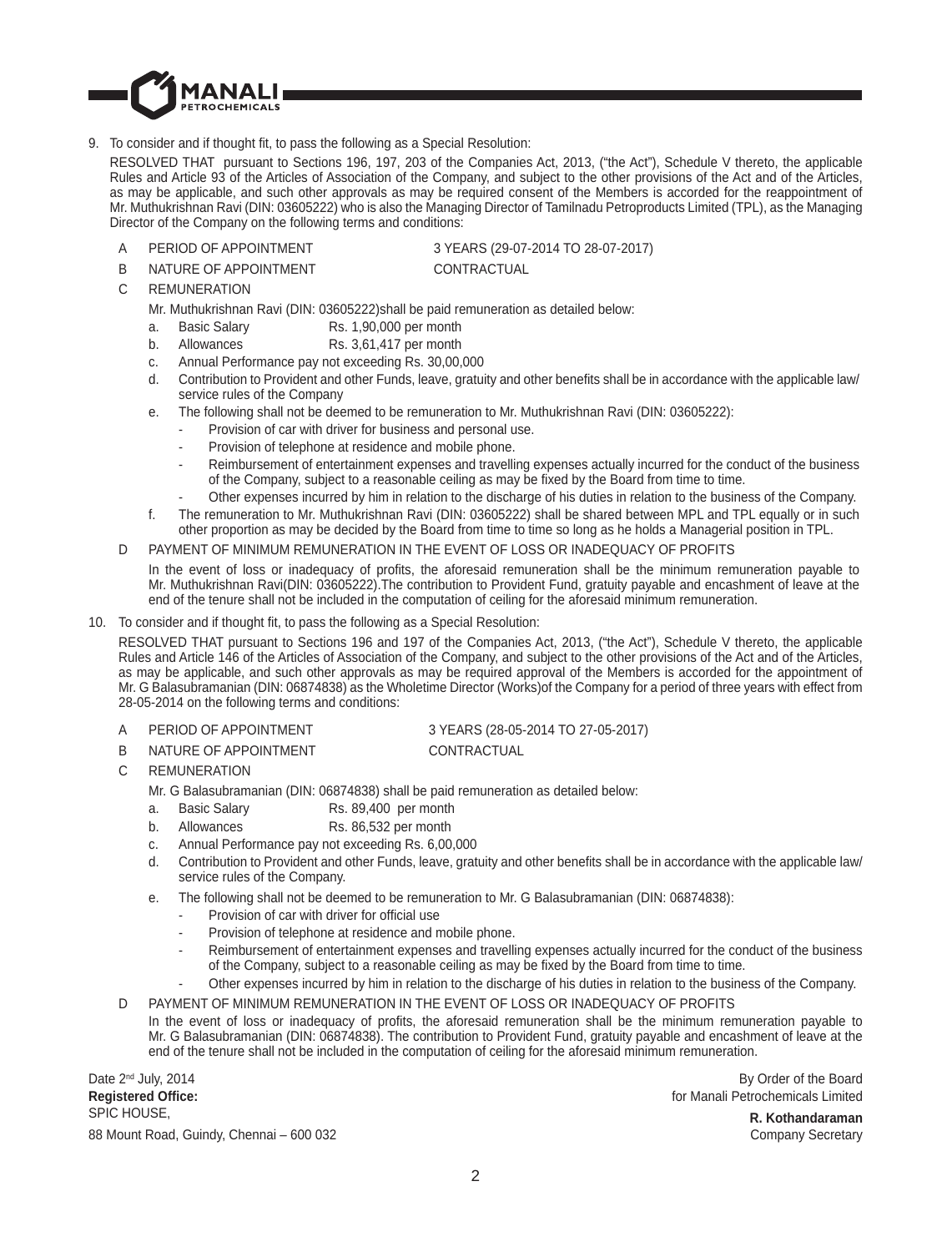

9. To consider and if thought fit, to pass the following as a Special Resolution:

 RESOLVED THAT pursuant to Sections 196, 197, 203 of the Companies Act, 2013, ("the Act"), Schedule V thereto, the applicable Rules and Article 93 of the Articles of Association of the Company, and subject to the other provisions of the Act and of the Articles, as may be applicable, and such other approvals as may be required consent of the Members is accorded for the reappointment of Mr. Muthukrishnan Ravi (DIN: 03605222) who is also the Managing Director of Tamilnadu Petroproducts Limited (TPL), as the Managing Director of the Company on the following terms and conditions:

A PERIOD OF APPOINTMENT 3 YEARS (29-07-2014 TO 28-07-2017)

B NATURE OF APPOINTMENT CONTRACTUAL

C REMUNERATION

Mr. Muthukrishnan Ravi (DIN: 03605222)shall be paid remuneration as detailed below:

- a. Basic Salary Rs. 1,90,000 per month
- b. Allowances Rs. 3,61,417 per month
- c. Annual Performance pay not exceeding Rs. 30,00,000
- d. Contribution to Provident and other Funds, leave, gratuity and other benefits shall be in accordance with the applicable law/ service rules of the Company
- e. The following shall not be deemed to be remuneration to Mr. Muthukrishnan Ravi (DIN: 03605222):
	- Provision of car with driver for business and personal use.
	- Provision of telephone at residence and mobile phone.
	- Reimbursement of entertainment expenses and travelling expenses actually incurred for the conduct of the business of the Company, subject to a reasonable ceiling as may be fixed by the Board from time to time.
	- Other expenses incurred by him in relation to the discharge of his duties in relation to the business of the Company.
- f. The remuneration to Mr. Muthukrishnan Ravi (DIN: 03605222) shall be shared between MPL and TPL equally or in such other proportion as may be decided by the Board from time to time so long as he holds a Managerial position in TPL.
- D PAYMENT OF MINIMUM REMUNERATION IN THE EVENT OF LOSS OR INADEQUACY OF PROFITS

In the event of loss or inadequacy of profits, the aforesaid remuneration shall be the minimum remuneration payable to Mr. Muthukrishnan Ravi(DIN: 03605222).The contribution to Provident Fund, gratuity payable and encashment of leave at the end of the tenure shall not be included in the computation of ceiling for the aforesaid minimum remuneration.

10. To consider and if thought fit, to pass the following as a Special Resolution:

RESOLVED THAT pursuant to Sections 196 and 197 of the Companies Act, 2013, ("the Act"), Schedule V thereto, the applicable Rules and Article 146 of the Articles of Association of the Company, and subject to the other provisions of the Act and of the Articles, as may be applicable, and such other approvals as may be required approval of the Members is accorded for the appointment of Mr. G Balasubramanian (DIN: 06874838) as the Wholetime Director (Works)of the Company for a period of three years with effect from 28-05-2014 on the following terms and conditions:

- 
- A PERIOD OF APPOINTMENT 3 YEARS (28-05-2014 TO 27-05-2017)
- B NATURE OF APPOINTMENT CONTRACTUAL
- C REMUNERATION

Mr. G Balasubramanian (DIN: 06874838) shall be paid remuneration as detailed below:

- a. Basic Salary Rs. 89,400 per month
- b. Allowances Rs. 86,532 per month
- c. Annual Performance pay not exceeding Rs. 6,00,000
- d. Contribution to Provident and other Funds, leave, gratuity and other benefits shall be in accordance with the applicable law/ service rules of the Company.
- e. The following shall not be deemed to be remuneration to Mr. G Balasubramanian (DIN: 06874838):
	- Provision of car with driver for official use
	- Provision of telephone at residence and mobile phone.
	- Reimbursement of entertainment expenses and travelling expenses actually incurred for the conduct of the business of the Company, subject to a reasonable ceiling as may be fixed by the Board from time to time.
	- Other expenses incurred by him in relation to the discharge of his duties in relation to the business of the Company.

D PAYMENT OF MINIMUM REMUNERATION IN THE EVENT OF LOSS OR INADEQUACY OF PROFITS

In the event of loss or inadequacy of profits, the aforesaid remuneration shall be the minimum remuneration payable to Mr. G Balasubramanian (DIN: 06874838). The contribution to Provident Fund, gratuity payable and encashment of leave at the end of the tenure shall not be included in the computation of ceiling for the aforesaid minimum remuneration.

Date 2<sup>nd</sup> July, 2014 **Registered Offi ce:** SPIC HOUSE, 88 Mount Road, Guindy, Chennai – 600 032

By Order of the Board for Manali Petrochemicals Limited

> **R. Kothandaraman** Company Secretary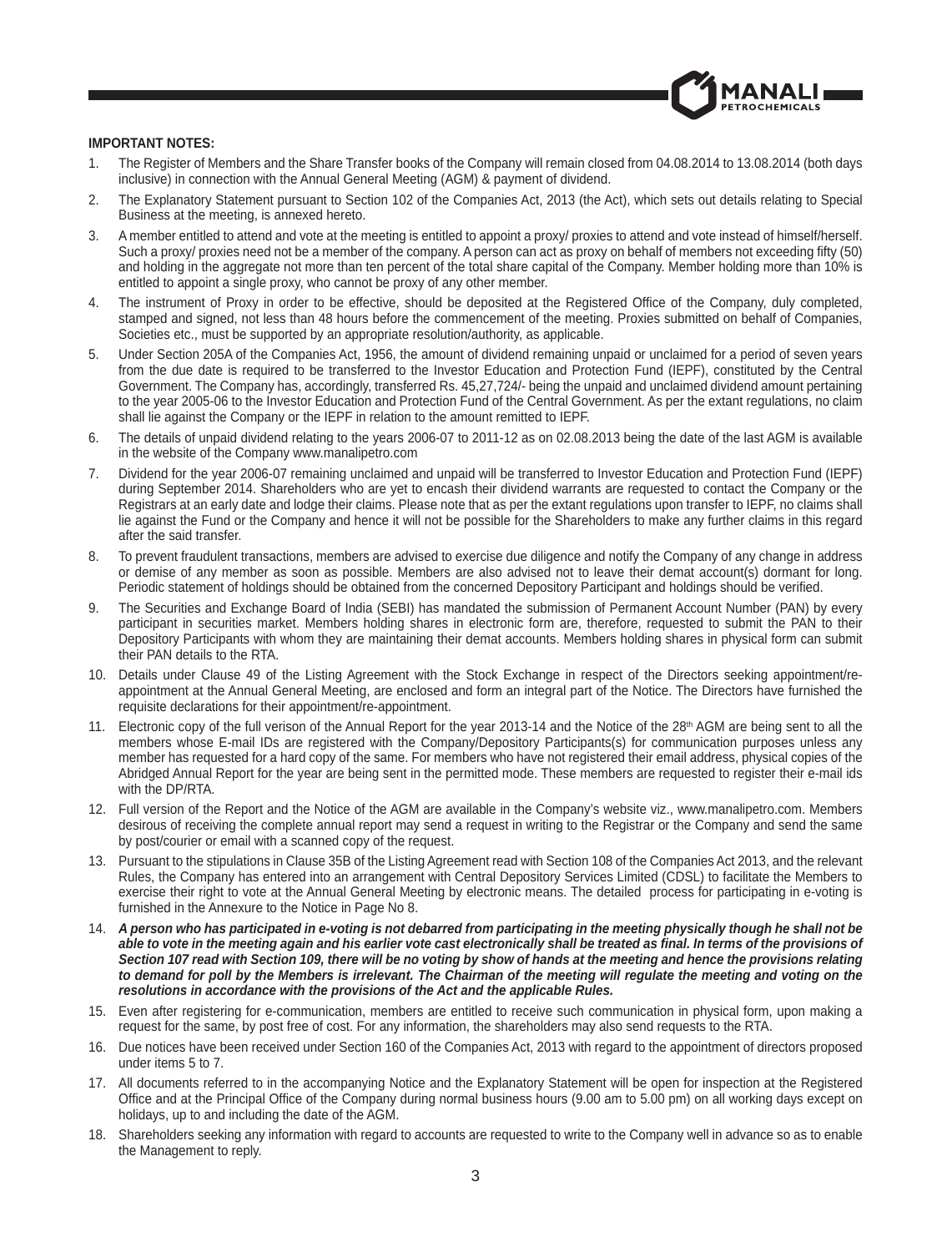

## **IMPORTANT NOTES:**

- 1. The Register of Members and the Share Transfer books of the Company will remain closed from 04.08.2014 to 13.08.2014 (both days inclusive) in connection with the Annual General Meeting (AGM) & payment of dividend.
- 2. The Explanatory Statement pursuant to Section 102 of the Companies Act, 2013 (the Act), which sets out details relating to Special Business at the meeting, is annexed hereto.
- 3. A member entitled to attend and vote at the meeting is entitled to appoint a proxy/ proxies to attend and vote instead of himself/herself. Such a proxy/ proxies need not be a member of the company. A person can act as proxy on behalf of members not exceeding fifty (50) and holding in the aggregate not more than ten percent of the total share capital of the Company. Member holding more than 10% is entitled to appoint a single proxy, who cannot be proxy of any other member.
- 4. The instrument of Proxy in order to be effective, should be deposited at the Registered Office of the Company, duly completed, stamped and signed, not less than 48 hours before the commencement of the meeting. Proxies submitted on behalf of Companies, Societies etc., must be supported by an appropriate resolution/authority, as applicable.
- 5. Under Section 205A of the Companies Act, 1956, the amount of dividend remaining unpaid or unclaimed for a period of seven years from the due date is required to be transferred to the Investor Education and Protection Fund (IEPF), constituted by the Central Government. The Company has, accordingly, transferred Rs. 45,27,724/- being the unpaid and unclaimed dividend amount pertaining to the year 2005-06 to the Investor Education and Protection Fund of the Central Government. As per the extant regulations, no claim shall lie against the Company or the IEPF in relation to the amount remitted to IEPF.
- 6. The details of unpaid dividend relating to the years 2006-07 to 2011-12 as on 02.08.2013 being the date of the last AGM is available in the website of the Company www.manalipetro.com
- 7. Dividend for the year 2006-07 remaining unclaimed and unpaid will be transferred to Investor Education and Protection Fund (IEPF) during September 2014. Shareholders who are yet to encash their dividend warrants are requested to contact the Company or the Registrars at an early date and lodge their claims. Please note that as per the extant regulations upon transfer to IEPF, no claims shall lie against the Fund or the Company and hence it will not be possible for the Shareholders to make any further claims in this regard after the said transfer.
- 8. To prevent fraudulent transactions, members are advised to exercise due diligence and notify the Company of any change in address or demise of any member as soon as possible. Members are also advised not to leave their demat account(s) dormant for long. Periodic statement of holdings should be obtained from the concerned Depository Participant and holdings should be verified.
- 9. The Securities and Exchange Board of India (SEBI) has mandated the submission of Permanent Account Number (PAN) by every participant in securities market. Members holding shares in electronic form are, therefore, requested to submit the PAN to their Depository Participants with whom they are maintaining their demat accounts. Members holding shares in physical form can submit their PAN details to the RTA.
- 10. Details under Clause 49 of the Listing Agreement with the Stock Exchange in respect of the Directors seeking appointment/reappointment at the Annual General Meeting, are enclosed and form an integral part of the Notice. The Directors have furnished the requisite declarations for their appointment/re-appointment.
- 11. Electronic copy of the full verison of the Annual Report for the year 2013-14 and the Notice of the 28<sup>th</sup> AGM are being sent to all the members whose E-mail IDs are registered with the Company/Depository Participants(s) for communication purposes unless any member has requested for a hard copy of the same. For members who have not registered their email address, physical copies of the Abridged Annual Report for the year are being sent in the permitted mode. These members are requested to register their e-mail ids with the DP/RTA.
- 12. Full version of the Report and the Notice of the AGM are available in the Company's website viz., www.manalipetro.com. Members desirous of receiving the complete annual report may send a request in writing to the Registrar or the Company and send the same by post/courier or email with a scanned copy of the request.
- 13. Pursuant to the stipulations in Clause 35B of the Listing Agreement read with Section 108 of the Companies Act 2013, and the relevant Rules, the Company has entered into an arrangement with Central Depository Services Limited (CDSL) to facilitate the Members to exercise their right to vote at the Annual General Meeting by electronic means. The detailed process for participating in e-voting is furnished in the Annexure to the Notice in Page No 8.
- 14. *A person who has participated in e-voting is not debarred from participating in the meeting physically though he shall not be*  able to vote in the meeting again and his earlier vote cast electronically shall be treated as final. In terms of the provisions of *Section 107 read with Section 109, there will be no voting by show of hands at the meeting and hence the provisions relating*  to demand for poll by the Members is irrelevant. The Chairman of the meeting will regulate the meeting and voting on the *resolutions in accordance with the provisions of the Act and the applicable Rules.*
- 15. Even after registering for e-communication, members are entitled to receive such communication in physical form, upon making a request for the same, by post free of cost. For any information, the shareholders may also send requests to the RTA.
- 16. Due notices have been received under Section 160 of the Companies Act, 2013 with regard to the appointment of directors proposed under items 5 to 7.
- 17. All documents referred to in the accompanying Notice and the Explanatory Statement will be open for inspection at the Registered Office and at the Principal Office of the Company during normal business hours (9.00 am to 5.00 pm) on all working days except on holidays, up to and including the date of the AGM.
- 18. Shareholders seeking any information with regard to accounts are requested to write to the Company well in advance so as to enable the Management to reply.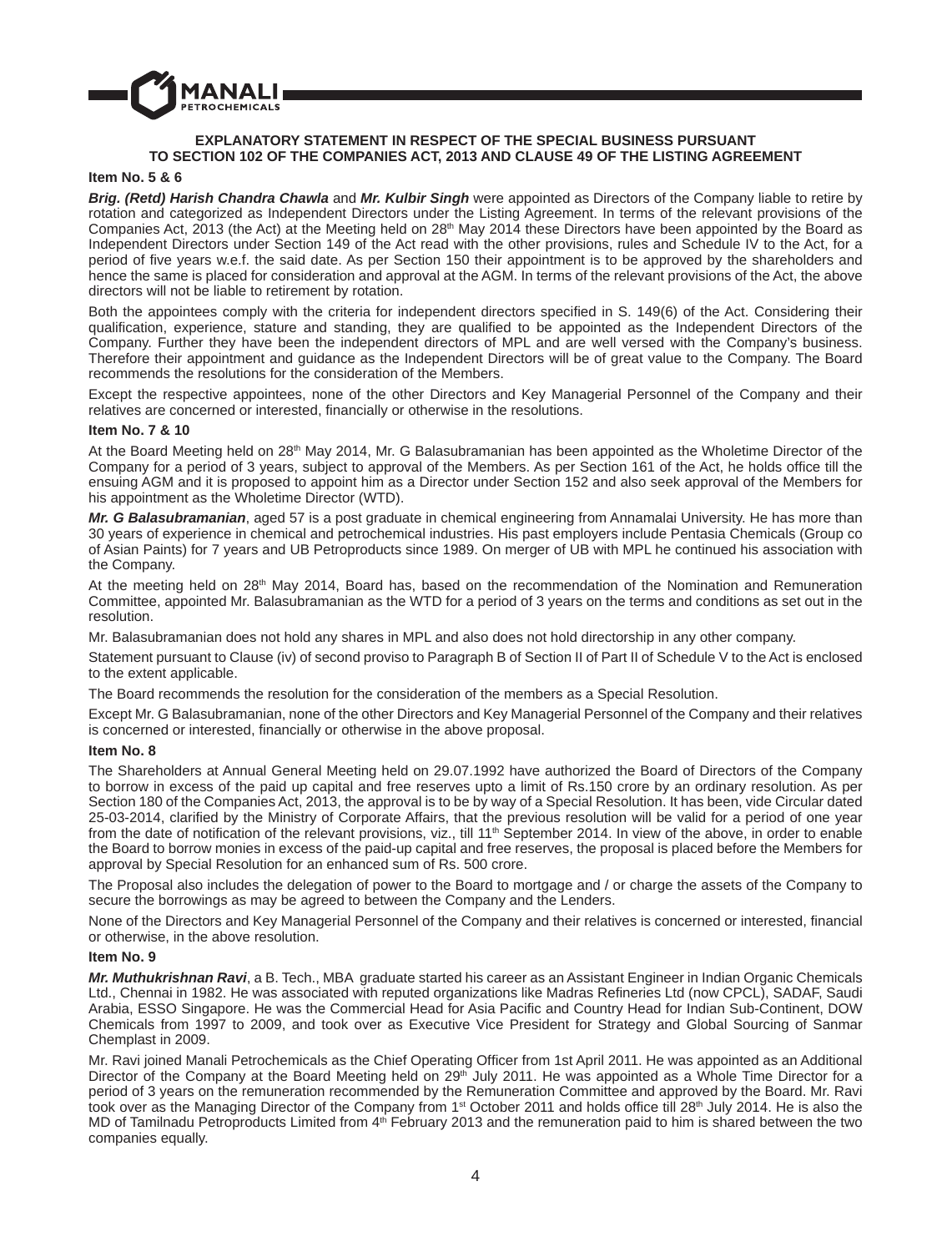

# **EXPLANATORY STATEMENT IN RESPECT OF THE SPECIAL BUSINESS PURSUANT TO SECTION 102 OF THE COMPANIES ACT, 2013 AND CLAUSE 49 OF THE LISTING AGREEMENT**

### **Item No. 5 & 6**

*Brig. (Retd) Harish Chandra Chawla* and *Mr. Kulbir Singh* were appointed as Directors of the Company liable to retire by rotation and categorized as Independent Directors under the Listing Agreement. In terms of the relevant provisions of the Companies Act, 2013 (the Act) at the Meeting held on  $28<sup>th</sup>$  May 2014 these Directors have been appointed by the Board as Independent Directors under Section 149 of the Act read with the other provisions, rules and Schedule IV to the Act, for a period of five years w.e.f. the said date. As per Section 150 their appointment is to be approved by the shareholders and hence the same is placed for consideration and approval at the AGM. In terms of the relevant provisions of the Act, the above directors will not be liable to retirement by rotation.

Both the appointees comply with the criteria for independent directors specified in S. 149(6) of the Act. Considering their qualification, experience, stature and standing, they are qualified to be appointed as the Independent Directors of the Company. Further they have been the independent directors of MPL and are well versed with the Company's business. Therefore their appointment and guidance as the Independent Directors will be of great value to the Company. The Board recommends the resolutions for the consideration of the Members.

Except the respective appointees, none of the other Directors and Key Managerial Personnel of the Company and their relatives are concerned or interested, financially or otherwise in the resolutions.

#### **Item No. 7 & 10**

At the Board Meeting held on 28<sup>th</sup> May 2014, Mr. G Balasubramanian has been appointed as the Wholetime Director of the Company for a period of 3 years, subject to approval of the Members. As per Section 161 of the Act, he holds office till the ensuing AGM and it is proposed to appoint him as a Director under Section 152 and also seek approval of the Members for his appointment as the Wholetime Director (WTD).

*Mr. G Balasubramanian*, aged 57 is a post graduate in chemical engineering from Annamalai University. He has more than 30 years of experience in chemical and petrochemical industries. His past employers include Pentasia Chemicals (Group co of Asian Paints) for 7 years and UB Petroproducts since 1989. On merger of UB with MPL he continued his association with the Company.

At the meeting held on 28<sup>th</sup> May 2014, Board has, based on the recommendation of the Nomination and Remuneration Committee, appointed Mr. Balasubramanian as the WTD for a period of 3 years on the terms and conditions as set out in the resolution.

Mr. Balasubramanian does not hold any shares in MPL and also does not hold directorship in any other company.

Statement pursuant to Clause (iv) of second proviso to Paragraph B of Section II of Part II of Schedule V to the Act is enclosed to the extent applicable.

The Board recommends the resolution for the consideration of the members as a Special Resolution.

Except Mr. G Balasubramanian, none of the other Directors and Key Managerial Personnel of the Company and their relatives is concerned or interested, financially or otherwise in the above proposal.

#### **Item No. 8**

The Shareholders at Annual General Meeting held on 29.07.1992 have authorized the Board of Directors of the Company to borrow in excess of the paid up capital and free reserves upto a limit of Rs.150 crore by an ordinary resolution. As per Section 180 of the Companies Act, 2013, the approval is to be by way of a Special Resolution. It has been, vide Circular dated 25-03-2014, clarified by the Ministry of Corporate Affairs, that the previous resolution will be valid for a period of one year from the date of notification of the relevant provisions, viz., till 11<sup>th</sup> September 2014. In view of the above, in order to enable the Board to borrow monies in excess of the paid-up capital and free reserves, the proposal is placed before the Members for approval by Special Resolution for an enhanced sum of Rs. 500 crore.

The Proposal also includes the delegation of power to the Board to mortgage and / or charge the assets of the Company to secure the borrowings as may be agreed to between the Company and the Lenders.

None of the Directors and Key Managerial Personnel of the Company and their relatives is concerned or interested, financial or otherwise, in the above resolution.

#### **Item No. 9**

*Mr. Muthukrishnan Ravi*, a B. Tech., MBA graduate started his career as an Assistant Engineer in Indian Organic Chemicals Ltd., Chennai in 1982. He was associated with reputed organizations like Madras Refineries Ltd (now CPCL), SADAF, Saudi Arabia, ESSO Singapore. He was the Commercial Head for Asia Pacific and Country Head for Indian Sub-Continent, DOW Chemicals from 1997 to 2009, and took over as Executive Vice President for Strategy and Global Sourcing of Sanmar Chemplast in 2009.

Mr. Ravi joined Manali Petrochemicals as the Chief Operating Officer from 1st April 2011. He was appointed as an Additional Director of the Company at the Board Meeting held on 29<sup>th</sup> July 2011. He was appointed as a Whole Time Director for a period of 3 years on the remuneration recommended by the Remuneration Committee and approved by the Board. Mr. Ravi took over as the Managing Director of the Company from  $1<sup>st</sup>$  October 2011 and holds office till 28<sup>th</sup> July 2014. He is also the MD of Tamilnadu Petroproducts Limited from 4<sup>th</sup> February 2013 and the remuneration paid to him is shared between the two companies equally.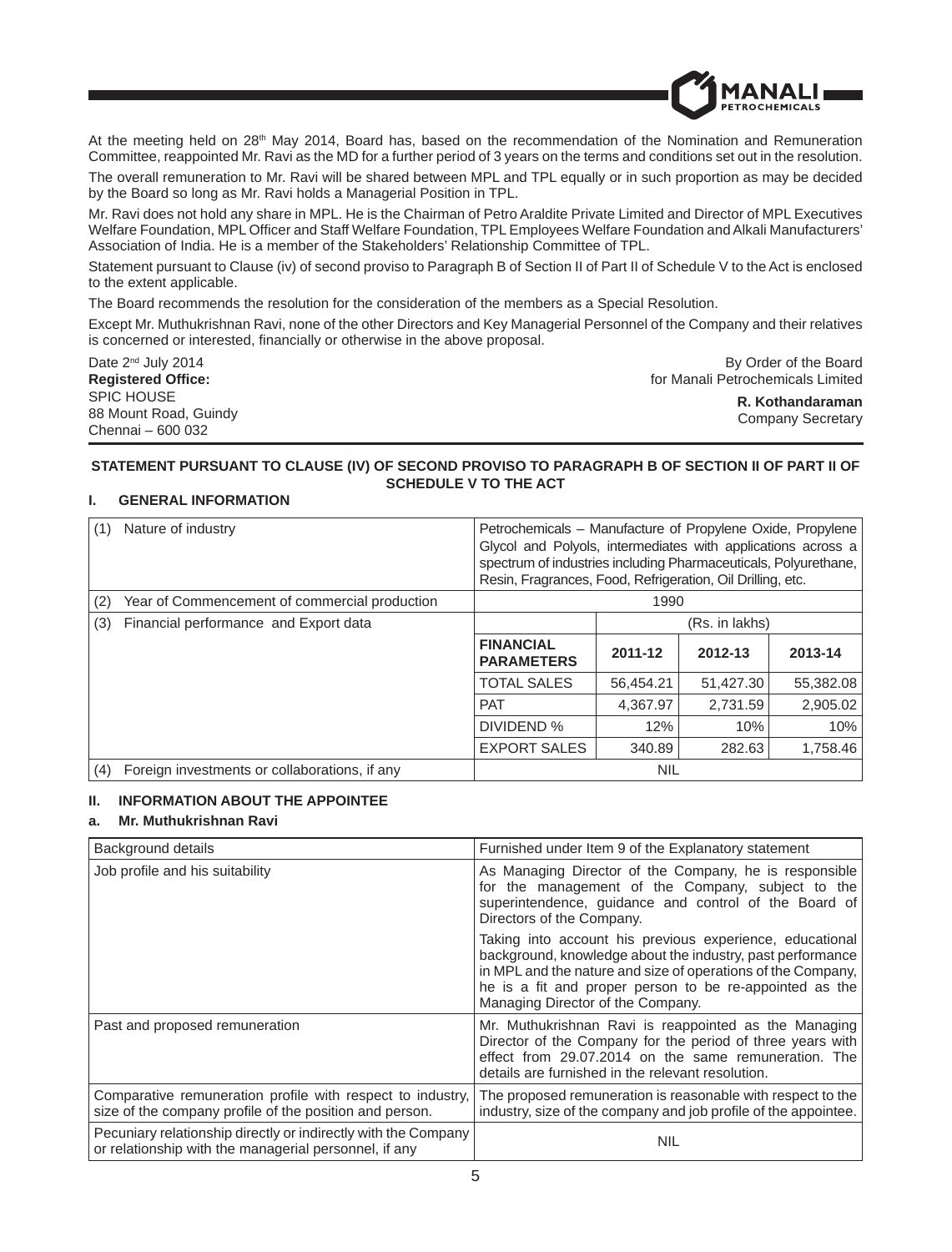

At the meeting held on 28<sup>th</sup> May 2014, Board has, based on the recommendation of the Nomination and Remuneration Committee, reappointed Mr. Ravi as the MD for a further period of 3 years on the terms and conditions set out in the resolution.

The overall remuneration to Mr. Ravi will be shared between MPL and TPL equally or in such proportion as may be decided by the Board so long as Mr. Ravi holds a Managerial Position in TPL.

Mr. Ravi does not hold any share in MPL. He is the Chairman of Petro Araldite Private Limited and Director of MPL Executives Welfare Foundation, MPL Officer and Staff Welfare Foundation, TPL Employees Welfare Foundation and Alkali Manufacturers' Association of India. He is a member of the Stakeholders' Relationship Committee of TPL.

Statement pursuant to Clause (iv) of second proviso to Paragraph B of Section II of Part II of Schedule V to the Act is enclosed to the extent applicable.

The Board recommends the resolution for the consideration of the members as a Special Resolution.

Except Mr. Muthukrishnan Ravi, none of the other Directors and Key Managerial Personnel of the Company and their relatives is concerned or interested, financially or otherwise in the above proposal.

| Date $2^{nd}$ July 2014   | By Order of the Board             |
|---------------------------|-----------------------------------|
| <b>Registered Office:</b> | for Manali Petrochemicals Limited |
| SPIC HOUSE                | R. Kothandaraman                  |
| 88 Mount Road, Guindy     | Company Secretary                 |
| Chennai - 600 032         |                                   |

### **STATEMENT PURSUANT TO CLAUSE (IV) OF SECOND PROVISO TO PARAGRAPH B OF SECTION II OF PART II OF SCHEDULE V TO THE ACT**

# **I. GENERAL INFORMATION**

| (1) | Nature of industry                            | Petrochemicals – Manufacture of Propylene Oxide, Propylene<br>Glycol and Polyols, intermediates with applications across a<br>spectrum of industries including Pharmaceuticals, Polyurethane,<br>Resin, Fragrances, Food, Refrigeration, Oil Drilling, etc. |                |           |           |
|-----|-----------------------------------------------|-------------------------------------------------------------------------------------------------------------------------------------------------------------------------------------------------------------------------------------------------------------|----------------|-----------|-----------|
| (2) | Year of Commencement of commercial production | 1990                                                                                                                                                                                                                                                        |                |           |           |
| (3) | Financial performance and Export data         |                                                                                                                                                                                                                                                             | (Rs. in lakhs) |           |           |
|     |                                               | <b>FINANCIAL</b><br><b>PARAMETERS</b>                                                                                                                                                                                                                       | 2011-12        | 2012-13   | 2013-14   |
|     |                                               | <b>TOTAL SALES</b>                                                                                                                                                                                                                                          | 56.454.21      | 51.427.30 | 55,382.08 |
|     |                                               | <b>PAT</b>                                                                                                                                                                                                                                                  | 4.367.97       | 2,731.59  | 2,905.02  |
|     |                                               | DIVIDEND %                                                                                                                                                                                                                                                  | 12%            | 10%       | 10%       |
|     |                                               | <b>EXPORT SALES</b>                                                                                                                                                                                                                                         | 340.89         | 282.63    | 1,758.46  |
| (4) | Foreign investments or collaborations, if any |                                                                                                                                                                                                                                                             | <b>NIL</b>     |           |           |

# **II. INFORMATION ABOUT THE APPOINTEE**

# **a. Mr. Muthukrishnan Ravi**

| Background details                                                                                                      | Furnished under Item 9 of the Explanatory statement                                                                                                                                                                                                                                    |
|-------------------------------------------------------------------------------------------------------------------------|----------------------------------------------------------------------------------------------------------------------------------------------------------------------------------------------------------------------------------------------------------------------------------------|
| Job profile and his suitability                                                                                         | As Managing Director of the Company, he is responsible<br>for the management of the Company, subject to the<br>superintendence, guidance and control of the Board of<br>Directors of the Company.                                                                                      |
|                                                                                                                         | Taking into account his previous experience, educational<br>background, knowledge about the industry, past performance<br>in MPL and the nature and size of operations of the Company,<br>he is a fit and proper person to be re-appointed as the<br>Managing Director of the Company. |
| Past and proposed remuneration                                                                                          | Mr. Muthukrishnan Ravi is reappointed as the Managing<br>Director of the Company for the period of three years with<br>effect from 29.07.2014 on the same remuneration. The<br>details are furnished in the relevant resolution.                                                       |
| Comparative remuneration profile with respect to industry,<br>size of the company profile of the position and person.   | The proposed remuneration is reasonable with respect to the<br>industry, size of the company and job profile of the appointee.                                                                                                                                                         |
| Pecuniary relationship directly or indirectly with the Company<br>or relationship with the managerial personnel, if any | <b>NIL</b>                                                                                                                                                                                                                                                                             |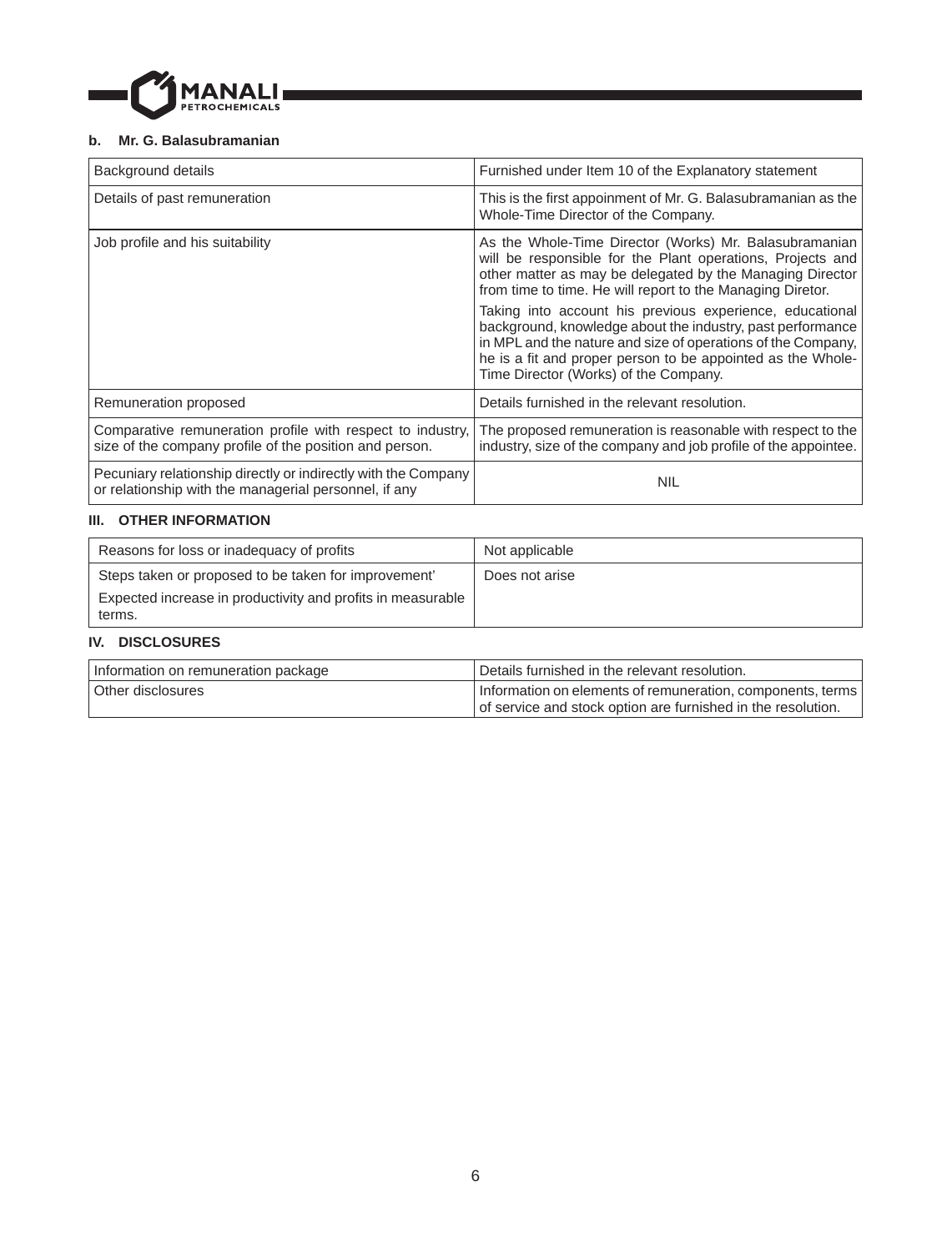

# **b. Mr. G. Balasubramanian**

| Background details                                                                                                      | Furnished under Item 10 of the Explanatory statement                                                                                                                                                                                                                                           |
|-------------------------------------------------------------------------------------------------------------------------|------------------------------------------------------------------------------------------------------------------------------------------------------------------------------------------------------------------------------------------------------------------------------------------------|
| Details of past remuneration                                                                                            | This is the first appoinment of Mr. G. Balasubramanian as the<br>Whole-Time Director of the Company.                                                                                                                                                                                           |
| Job profile and his suitability                                                                                         | As the Whole-Time Director (Works) Mr. Balasubramanian<br>will be responsible for the Plant operations, Projects and<br>other matter as may be delegated by the Managing Director<br>from time to time. He will report to the Managing Diretor.                                                |
|                                                                                                                         | Taking into account his previous experience, educational<br>background, knowledge about the industry, past performance<br>in MPL and the nature and size of operations of the Company,<br>he is a fit and proper person to be appointed as the Whole-<br>Time Director (Works) of the Company. |
| Remuneration proposed                                                                                                   | Details furnished in the relevant resolution.                                                                                                                                                                                                                                                  |
| Comparative remuneration profile with respect to industry,<br>size of the company profile of the position and person.   | The proposed remuneration is reasonable with respect to the<br>industry, size of the company and job profile of the appointee.                                                                                                                                                                 |
| Pecuniary relationship directly or indirectly with the Company<br>or relationship with the managerial personnel, if any | <b>NIL</b>                                                                                                                                                                                                                                                                                     |

# **III. OTHER INFORMATION**

| Reasons for loss or inadequacy of profits                                                                                     | Not applicable |
|-------------------------------------------------------------------------------------------------------------------------------|----------------|
| Steps taken or proposed to be taken for improvement'<br>Expected increase in productivity and profits in measurable<br>terms. | Does not arise |

# **IV. DISCLOSURES**

| Information on remuneration package | Details furnished in the relevant resolution.                |  |  |
|-------------------------------------|--------------------------------------------------------------|--|--|
| Other disclosures                   | Information on elements of remuneration, components, terms   |  |  |
|                                     | of service and stock option are furnished in the resolution. |  |  |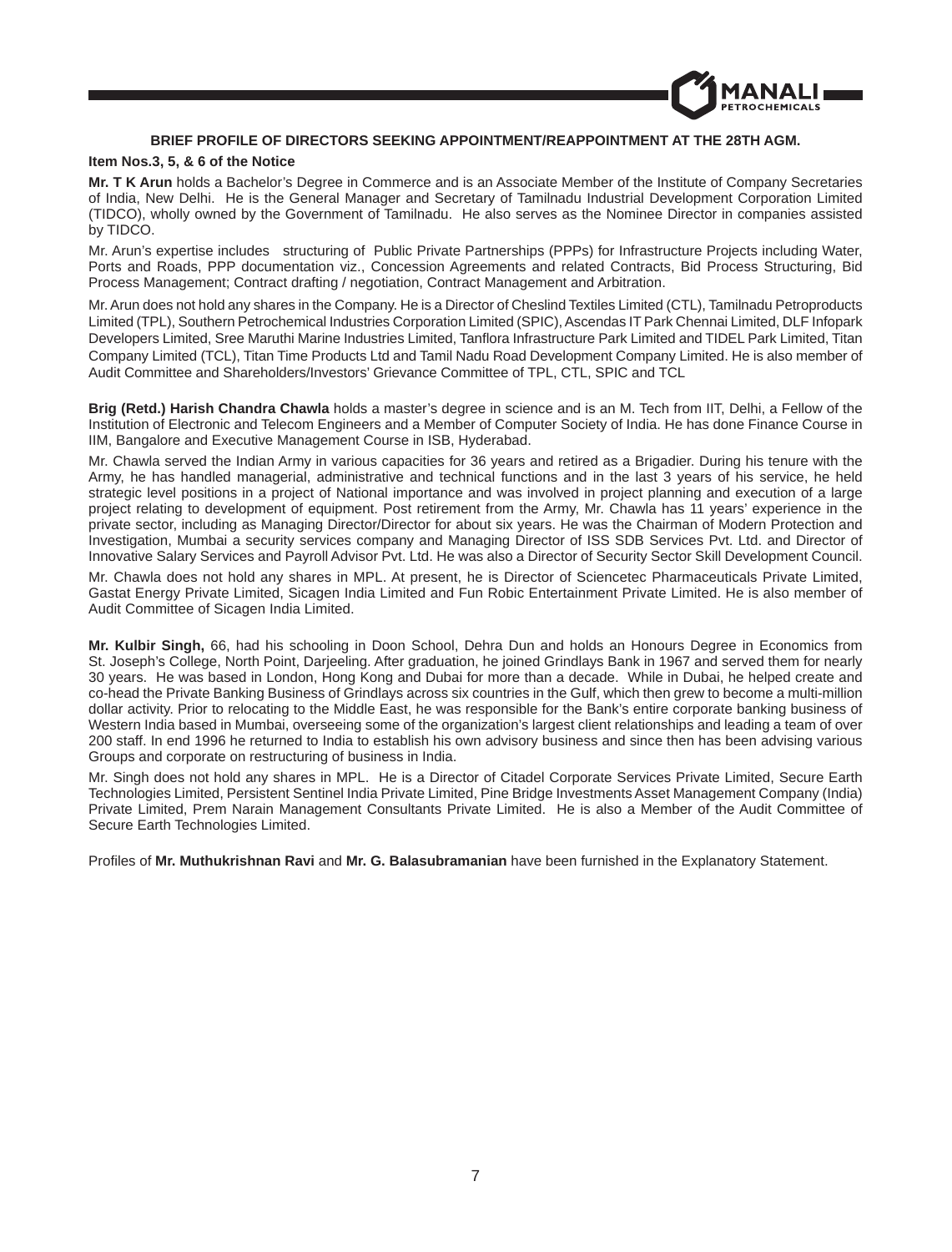# **BRIEF PROFILE OF DIRECTORS SEEKING APPOINTMENT/REAPPOINTMENT AT THE 28TH AGM.**

ROCHEMICALS

#### **Item Nos.3, 5, & 6 of the Notice**

**Mr. T K Arun** holds a Bachelor's Degree in Commerce and is an Associate Member of the Institute of Company Secretaries of India, New Delhi. He is the General Manager and Secretary of Tamilnadu Industrial Development Corporation Limited (TIDCO), wholly owned by the Government of Tamilnadu. He also serves as the Nominee Director in companies assisted by TIDCO.

Mr. Arun's expertise includes structuring of Public Private Partnerships (PPPs) for Infrastructure Projects including Water, Ports and Roads, PPP documentation viz., Concession Agreements and related Contracts, Bid Process Structuring, Bid Process Management; Contract drafting / negotiation, Contract Management and Arbitration.

Mr. Arun does not hold any shares in the Company. He is a Director of Cheslind Textiles Limited (CTL), Tamilnadu Petroproducts Limited (TPL), Southern Petrochemical Industries Corporation Limited (SPIC), Ascendas IT Park Chennai Limited, DLF Infopark Developers Limited, Sree Maruthi Marine Industries Limited, Tanflora Infrastructure Park Limited and TIDEL Park Limited, Titan Company Limited (TCL), Titan Time Products Ltd and Tamil Nadu Road Development Company Limited. He is also member of Audit Committee and Shareholders/Investors' Grievance Committee of TPL, CTL, SPIC and TCL

**Brig (Retd.) Harish Chandra Chawla** holds a master's degree in science and is an M. Tech from IIT, Delhi, a Fellow of the Institution of Electronic and Telecom Engineers and a Member of Computer Society of India. He has done Finance Course in IIM, Bangalore and Executive Management Course in ISB, Hyderabad.

Mr. Chawla served the Indian Army in various capacities for 36 years and retired as a Brigadier. During his tenure with the Army, he has handled managerial, administrative and technical functions and in the last 3 years of his service, he held strategic level positions in a project of National importance and was involved in project planning and execution of a large project relating to development of equipment. Post retirement from the Army, Mr. Chawla has 11 years' experience in the private sector, including as Managing Director/Director for about six years. He was the Chairman of Modern Protection and Investigation, Mumbai a security services company and Managing Director of ISS SDB Services Pvt. Ltd. and Director of Innovative Salary Services and Payroll Advisor Pvt. Ltd. He was also a Director of Security Sector Skill Development Council.

Mr. Chawla does not hold any shares in MPL. At present, he is Director of Sciencetec Pharmaceuticals Private Limited, Gastat Energy Private Limited, Sicagen India Limited and Fun Robic Entertainment Private Limited. He is also member of Audit Committee of Sicagen India Limited.

**Mr. Kulbir Singh,** 66, had his schooling in Doon School, Dehra Dun and holds an Honours Degree in Economics from St. Joseph's College, North Point, Darjeeling. After graduation, he joined Grindlays Bank in 1967 and served them for nearly 30 years. He was based in London, Hong Kong and Dubai for more than a decade. While in Dubai, he helped create and co-head the Private Banking Business of Grindlays across six countries in the Gulf, which then grew to become a multi-million dollar activity. Prior to relocating to the Middle East, he was responsible for the Bank's entire corporate banking business of Western India based in Mumbai, overseeing some of the organization's largest client relationships and leading a team of over 200 staff. In end 1996 he returned to India to establish his own advisory business and since then has been advising various Groups and corporate on restructuring of business in India.

Mr. Singh does not hold any shares in MPL. He is a Director of Citadel Corporate Services Private Limited, Secure Earth Technologies Limited, Persistent Sentinel India Private Limited, Pine Bridge Investments Asset Management Company (India) Private Limited, Prem Narain Management Consultants Private Limited. He is also a Member of the Audit Committee of Secure Earth Technologies Limited.

Profiles of Mr. Muthukrishnan Ravi and Mr. G. Balasubramanian have been furnished in the Explanatory Statement.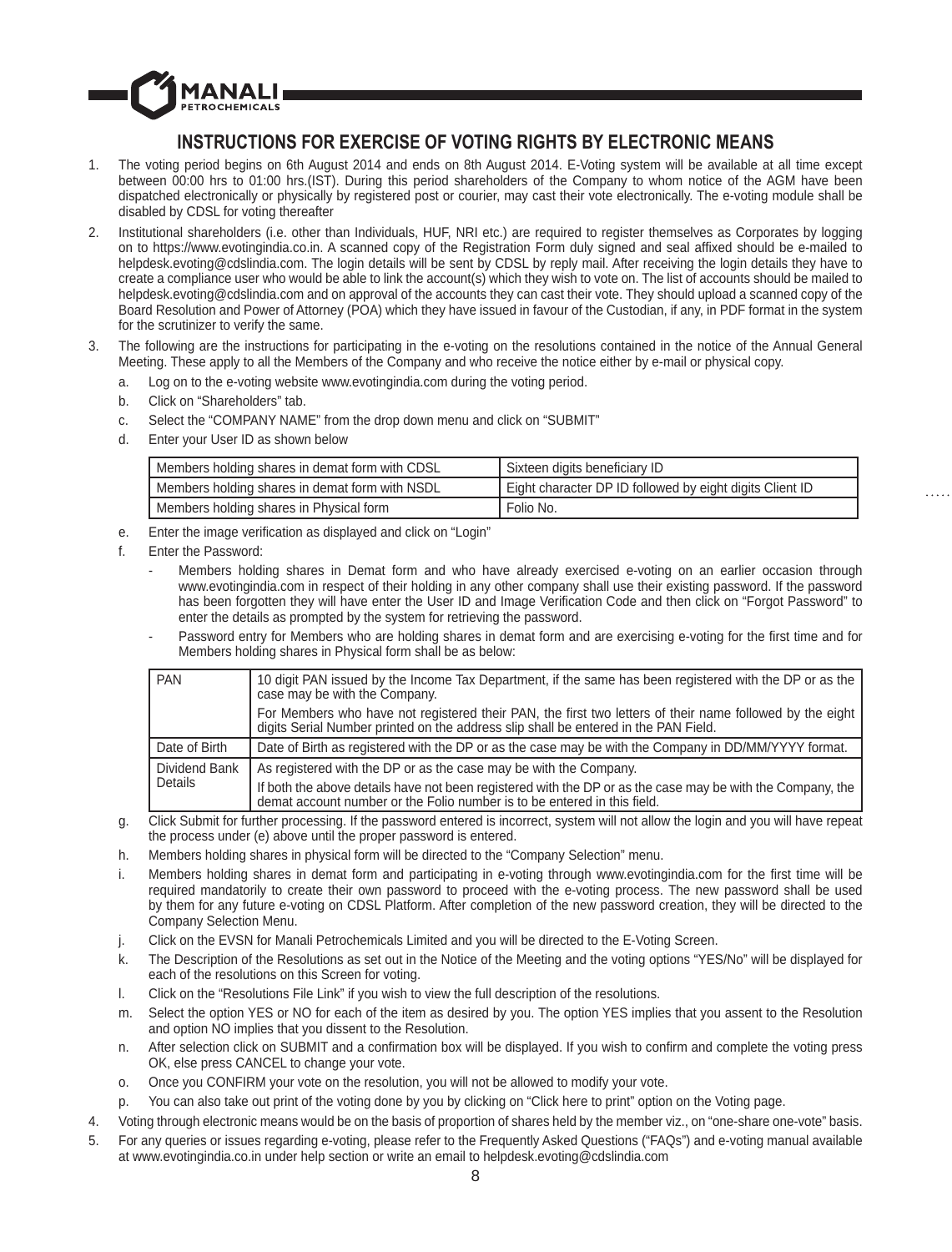# **INSTRUCTIONS FOR EXERCISE OF VOTING RIGHTS BY ELECTRONIC MEANS**

- 1. The voting period begins on 6th August 2014 and ends on 8th August 2014. E-Voting system will be available at all time except between 00:00 hrs to 01:00 hrs.(IST). During this period shareholders of the Company to whom notice of the AGM have been dispatched electronically or physically by registered post or courier, may cast their vote electronically. The e-voting module shall be disabled by CDSL for voting thereafter
- 2. Institutional shareholders (i.e. other than Individuals, HUF, NRI etc.) are required to register themselves as Corporates by logging on to https://www.evotingindia.co.in. A scanned copy of the Registration Form duly signed and seal affixed should be e-mailed to helpdesk.evoting@cdslindia.com. The login details will be sent by CDSL by reply mail. After receiving the login details they have to create a compliance user who would be able to link the account(s) which they wish to vote on. The list of accounts should be mailed to helpdesk.evoting@cdslindia.com and on approval of the accounts they can cast their vote. They should upload a scanned copy of the Board Resolution and Power of Attorney (POA) which they have issued in favour of the Custodian, if any, in PDF format in the system for the scrutinizer to verify the same.
- The following are the instructions for participating in the e-voting on the resolutions contained in the notice of the Annual General Meeting. These apply to all the Members of the Company and who receive the notice either by e-mail or physical copy.
	- a. Log on to the e-voting website www.evotingindia.com during the voting period.
	- b. Click on "Shareholders" tab.

1ANAI **TROCHEMICALS** 

- c. Select the "COMPANY NAME" from the drop down menu and click on "SUBMIT"
- d. Enter your User ID as shown below

| Members holding shares in demat form with CDSL | Sixteen digits beneficiary ID                            |
|------------------------------------------------|----------------------------------------------------------|
| Members holding shares in demat form with NSDL | Eight character DP ID followed by eight digits Client ID |
| Members holding shares in Physical form        | Folio No.                                                |

- e. Enter the image verification as displayed and click on "Login"
- f. Enter the Password:
	- Members holding shares in Demat form and who have already exercised e-voting on an earlier occasion through www.evotingindia.com in respect of their holding in any other company shall use their existing password. If the password has been forgotten they will have enter the User ID and Image Verification Code and then click on "Forgot Password" to enter the details as prompted by the system for retrieving the password.
	- Password entry for Members who are holding shares in demat form and are exercising e-voting for the first time and for Members holding shares in Physical form shall be as below:

| PAN           | 10 digit PAN issued by the Income Tax Department, if the same has been registered with the DP or as the<br>case may be with the Company.                                                          |
|---------------|---------------------------------------------------------------------------------------------------------------------------------------------------------------------------------------------------|
|               | For Members who have not registered their PAN, the first two letters of their name followed by the eight  <br>digits Serial Number printed on the address slip shall be entered in the PAN Field. |
| Date of Birth | Date of Birth as registered with the DP or as the case may be with the Company in DD/MM/YYYY format.                                                                                              |
| Dividend Bank | As registered with the DP or as the case may be with the Company.                                                                                                                                 |
| Details       | If both the above details have not been registered with the DP or as the case may be with the Company, the<br>demat account number or the Folio number is to be entered in this field.            |

- g. Click Submit for further processing. If the password entered is incorrect, system will not allow the login and you will have repeat the process under (e) above until the proper password is entered.
- h. Members holding shares in physical form will be directed to the "Company Selection" menu.
- i. Members holding shares in demat form and participating in e-voting through www.evotingindia.com for the first time will be required mandatorily to create their own password to proceed with the e-voting process. The new password shall be used by them for any future e-voting on CDSL Platform. After completion of the new password creation, they will be directed to the Company Selection Menu.
- j. Click on the EVSN for Manali Petrochemicals Limited and you will be directed to the E-Voting Screen.
- k. The Description of the Resolutions as set out in the Notice of the Meeting and the voting options "YES/No" will be displayed for each of the resolutions on this Screen for voting.
- l. Click on the "Resolutions File Link" if you wish to view the full description of the resolutions.
- m. Select the option YES or NO for each of the item as desired by you. The option YES implies that you assent to the Resolution and option NO implies that you dissent to the Resolution.
- n. After selection click on SUBMIT and a confirmation box will be displayed. If you wish to confirm and complete the voting press OK, else press CANCEL to change your vote.
- o. Once you CONFIRM your vote on the resolution, you will not be allowed to modify your vote.
- You can also take out print of the voting done by you by clicking on "Click here to print" option on the Voting page.
- 4. Voting through electronic means would be on the basis of proportion of shares held by the member viz., on "one-share one-vote" basis.
- 5. For any queries or issues regarding e-voting, please refer to the Frequently Asked Questions ("FAQs") and e-voting manual available at www.evotingindia.co.in under help section or write an email to helpdesk.evoting@cdslindia.com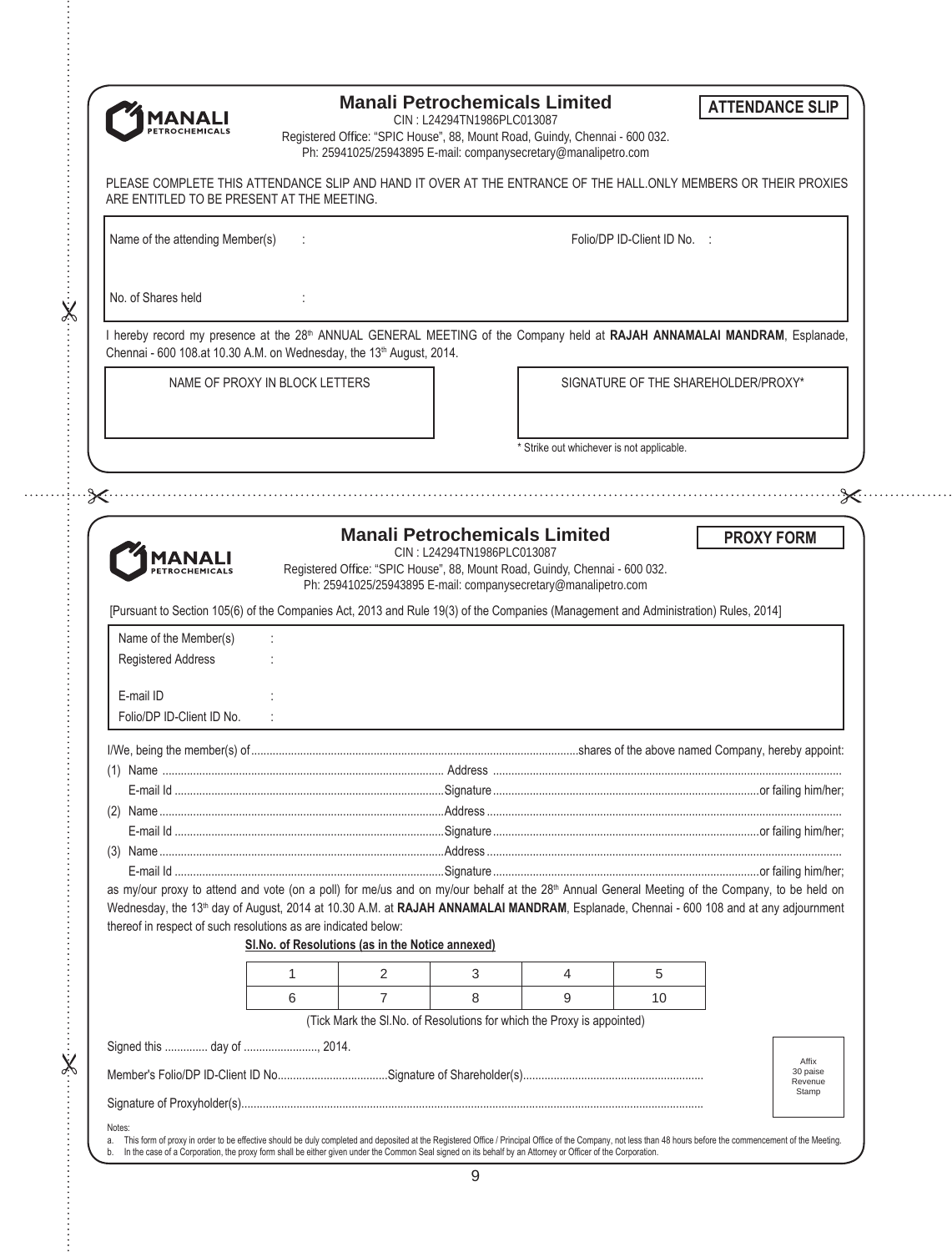# **Manali Petrochemicals Limited**

**ATTENDANCE SLIP** 

**PROXY FORM** 

 $\propto$ 

Affix 30 paise Revenue Stamp

CIN : L24294TN1986PLC013087

Registered Office: "SPIC House", 88, Mount Road, Guindy, Chennai - 600 032. Ph: 25941025/25943895 E-mail: companysecretary@manalipetro.com

PLEASE COMPLETE THIS ATTENDANCE SLIP AND HAND IT OVER AT THE ENTRANCE OF THE HALL.ONLY MEMBERS OR THEIR PROXIES ARE ENTITLED TO BE PRESENT AT THE MEETING.

Name of the attending Member(s) : Contract to the attending Member(s) in the state of the attending Member(s) in the state of the state of the state of the state of the state of the state of the state of the state of the s

No. of Shares held

 $\dot{\mathsf{X}}$ 

I hereby record my presence at the 28<sup>th</sup> ANNUAL GENERAL MEETING of the Company held at RAJAH ANNAMALAI MANDRAM, Esplanade, Chennai - 600 108.at 10.30 A.M. on Wednesday, the 13<sup>th</sup> August, 2014.

NAME OF PROXY IN BLOCK LETTERS **A PART AND SCHOOL SERVICE OF THE SHAREHOLDER/PROXY\*** 

Strike out whichever is not applicable.

# **Manali Petrochemicals Limited**

**MANALI** PETROCHEMICALS

CIN : L24294TN1986PLC013087 Registered Office: "SPIC House", 88, Mount Road, Guindy, Chennai - 600 032. Ph: 25941025/25943895 E-mail: companysecretary@manalipetro.com

[Pursuant to Section 105(6) of the Companies Act, 2013 and Rule 19(3) of the Companies (Management and Administration) Rules, 2014]

| Name of the Member(s)                                                                                                                                      |   |                                                   |                                                                        |   |                 |  |
|------------------------------------------------------------------------------------------------------------------------------------------------------------|---|---------------------------------------------------|------------------------------------------------------------------------|---|-----------------|--|
| <b>Registered Address</b>                                                                                                                                  |   |                                                   |                                                                        |   |                 |  |
| E-mail ID                                                                                                                                                  |   |                                                   |                                                                        |   |                 |  |
| Folio/DP ID-Client ID No.                                                                                                                                  |   |                                                   |                                                                        |   |                 |  |
|                                                                                                                                                            |   |                                                   |                                                                        |   |                 |  |
|                                                                                                                                                            |   |                                                   |                                                                        |   |                 |  |
|                                                                                                                                                            |   |                                                   |                                                                        |   |                 |  |
|                                                                                                                                                            |   |                                                   |                                                                        |   |                 |  |
| (2)                                                                                                                                                        |   |                                                   |                                                                        |   |                 |  |
|                                                                                                                                                            |   |                                                   |                                                                        |   |                 |  |
|                                                                                                                                                            |   |                                                   |                                                                        |   |                 |  |
|                                                                                                                                                            |   |                                                   |                                                                        |   |                 |  |
| as my/our proxy to attend and vote (on a poll) for me/us and on my/our behalf at the 28 <sup>th</sup> Annual General Meeting of the Company, to be held on |   |                                                   |                                                                        |   |                 |  |
| Wednesday, the 13 <sup>th</sup> day of August, 2014 at 10.30 A.M. at RAJAH ANNAMALAI MANDRAM, Esplanade, Chennai - 600 108 and at any adjournment          |   |                                                   |                                                                        |   |                 |  |
| thereof in respect of such resolutions as are indicated below:                                                                                             |   |                                                   |                                                                        |   |                 |  |
|                                                                                                                                                            |   | SI. No. of Resolutions (as in the Notice annexed) |                                                                        |   |                 |  |
|                                                                                                                                                            |   | $\mathcal{P}$                                     | 3                                                                      | 4 | 5               |  |
|                                                                                                                                                            | 6 | 7                                                 | 8                                                                      | 9 | 10 <sup>1</sup> |  |
|                                                                                                                                                            |   |                                                   | (Tick Mark the SI.No. of Resolutions for which the Proxy is appointed) |   |                 |  |
| Signed this  day of  2014.                                                                                                                                 |   |                                                   |                                                                        |   |                 |  |

 $\ddot{\times}$ 

Notes a. This form of proxy in order to be effective should be duly completed and deposited at the Registered Office / Principal Office of the Company, not less than 48 hours before the commencement of the Meeting. In the case of a Corporation, the proxy form shall be either given under the Common Seal signed on its behalf by an Attorney or Officer of the Corporation.